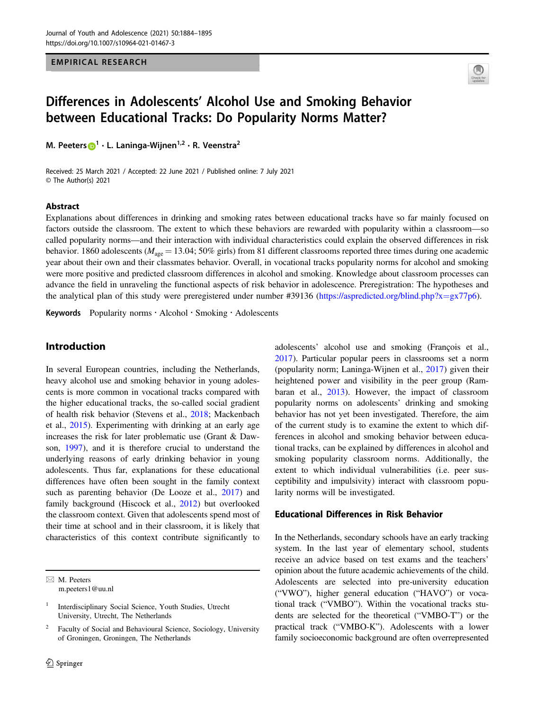EMPIRICAL RESEARCH



# Differences in Adolescents' Alcohol Use and Smoking Behavior between Educational Tracks: Do Popularity Norms Matter?

M. Peeters D → L. Laninga-Wijnen [1](http://orcid.org/0000-0001-8861-5744)→ R. Veenstra

Received: 25 March 2021 / Accepted: 22 June 2021 / Published online: 7 July 2021 © The Author(s) 2021

#### Abstract

Explanations about differences in drinking and smoking rates between educational tracks have so far mainly focused on factors outside the classroom. The extent to which these behaviors are rewarded with popularity within a classroom—so called popularity norms—and their interaction with individual characteristics could explain the observed differences in risk behavior. 1860 adolescents ( $M_{\text{age}} = 13.04$ ; 50% girls) from 81 different classrooms reported three times during one academic year about their own and their classmates behavior. Overall, in vocational tracks popularity norms for alcohol and smoking were more positive and predicted classroom differences in alcohol and smoking. Knowledge about classroom processes can advance the field in unraveling the functional aspects of risk behavior in adolescence. Preregistration: The hypotheses and the analytical plan of this study were preregistered under number #39136 [\(https://aspredicted.org/blind.php?x](https://aspredicted.org/blind.php?x=gx77p6)=gx77p6).

Keywords Popularity norms · Alcohol · Smoking · Adolescents

# Introduction

In several European countries, including the Netherlands, heavy alcohol use and smoking behavior in young adolescents is more common in vocational tracks compared with the higher educational tracks, the so-called social gradient of health risk behavior (Stevens et al., [2018](#page-11-0); Mackenbach et al., [2015\)](#page-10-0). Experimenting with drinking at an early age increases the risk for later problematic use (Grant & Dawson, [1997](#page-10-0)), and it is therefore crucial to understand the underlying reasons of early drinking behavior in young adolescents. Thus far, explanations for these educational differences have often been sought in the family context such as parenting behavior (De Looze et al., [2017\)](#page-10-0) and family background (Hiscock et al., [2012\)](#page-10-0) but overlooked the classroom context. Given that adolescents spend most of their time at school and in their classroom, it is likely that characteristics of this context contribute significantly to

 $\boxtimes$  M. Peeters [m.peeters1@uu.nl](mailto:m.peeters1@uu.nl) adolescents' alcohol use and smoking (François et al., [2017](#page-10-0)). Particular popular peers in classrooms set a norm (popularity norm; Laninga‐Wijnen et al., [2017](#page-10-0)) given their heightened power and visibility in the peer group (Rambaran et al., [2013](#page-11-0)). However, the impact of classroom popularity norms on adolescents' drinking and smoking behavior has not yet been investigated. Therefore, the aim of the current study is to examine the extent to which differences in alcohol and smoking behavior between educational tracks, can be explained by differences in alcohol and smoking popularity classroom norms. Additionally, the extent to which individual vulnerabilities (i.e. peer susceptibility and impulsivity) interact with classroom popularity norms will be investigated.

# Educational Differences in Risk Behavior

In the Netherlands, secondary schools have an early tracking system. In the last year of elementary school, students receive an advice based on test exams and the teachers' opinion about the future academic achievements of the child. Adolescents are selected into pre-university education ("VWO"), higher general education ("HAVO") or vocational track ("VMBO"). Within the vocational tracks students are selected for the theoretical ("VMBO-T") or the practical track ("VMBO-K"). Adolescents with a lower family socioeconomic background are often overrepresented

<sup>1</sup> Interdisciplinary Social Science, Youth Studies, Utrecht University, Utrecht, The Netherlands

<sup>2</sup> Faculty of Social and Behavioural Science, Sociology, University of Groningen, Groningen, The Netherlands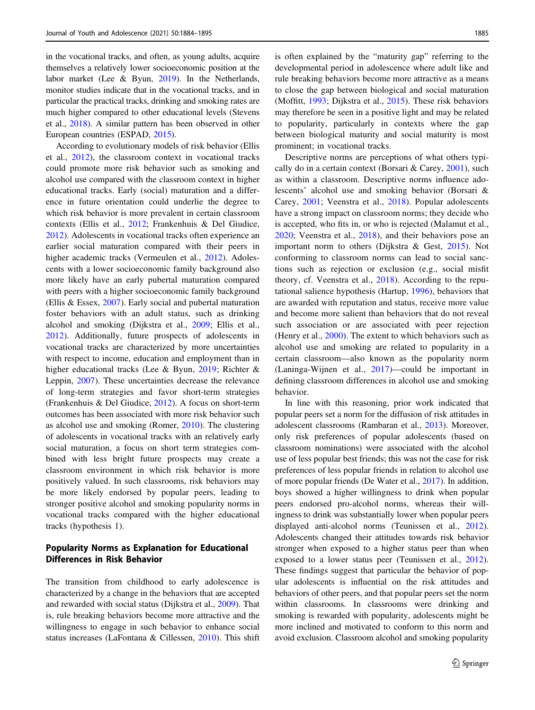in the vocational tracks, and often, as young adults, acquire themselves a relatively lower socioeconomic position at the labor market (Lee & Byun, [2019](#page-10-0)). In the Netherlands, monitor studies indicate that in the vocational tracks, and in particular the practical tracks, drinking and smoking rates are much higher compared to other educational levels (Stevens et al., [2018](#page-11-0)). A similar pattern has been observed in other European countries (ESPAD, [2015\)](#page-10-0).

According to evolutionary models of risk behavior (Ellis et al., [2012\)](#page-10-0), the classroom context in vocational tracks could promote more risk behavior such as smoking and alcohol use compared with the classroom context in higher educational tracks. Early (social) maturation and a difference in future orientation could underlie the degree to which risk behavior is more prevalent in certain classroom contexts (Ellis et al., [2012](#page-10-0); Frankenhuis & Del Giudice, [2012](#page-10-0)). Adolescents in vocational tracks often experience an earlier social maturation compared with their peers in higher academic tracks (Vermeulen et al., [2012\)](#page-11-0). Adolescents with a lower socioeconomic family background also more likely have an early pubertal maturation compared with peers with a higher socioeconomic family background (Ellis & Essex, [2007](#page-10-0)). Early social and pubertal maturation foster behaviors with an adult status, such as drinking alcohol and smoking (Dijkstra et al., [2009](#page-9-0); Ellis et al., [2012](#page-10-0)). Additionally, future prospects of adolescents in vocational tracks are characterized by more uncertainties with respect to income, education and employment than in higher educational tracks (Lee & Byun, [2019](#page-10-0); Richter & Leppin, [2007\)](#page-11-0). These uncertainties decrease the relevance of long-term strategies and favor short-term strategies (Frankenhuis & Del Giudice, [2012\)](#page-10-0). A focus on short-term outcomes has been associated with more risk behavior such as alcohol use and smoking (Romer, [2010](#page-11-0)). The clustering of adolescents in vocational tracks with an relatively early social maturation, a focus on short term strategies combined with less bright future prospects may create a classroom environment in which risk behavior is more positively valued. In such classrooms, risk behaviors may be more likely endorsed by popular peers, leading to stronger positive alcohol and smoking popularity norms in vocational tracks compared with the higher educational tracks (hypothesis 1).

# Popularity Norms as Explanation for Educational Differences in Risk Behavior

The transition from childhood to early adolescence is characterized by a change in the behaviors that are accepted and rewarded with social status (Dijkstra et al., [2009](#page-9-0)). That is, rule breaking behaviors become more attractive and the willingness to engage in such behavior to enhance social status increases (LaFontana & Cillessen, [2010\)](#page-10-0). This shift is often explained by the "maturity gap" referring to the developmental period in adolescence where adult like and rule breaking behaviors become more attractive as a means to close the gap between biological and social maturation (Moffitt, [1993;](#page-10-0) Dijkstra et al., [2015](#page-10-0)). These risk behaviors may therefore be seen in a positive light and may be related to popularity, particularly in contexts where the gap between biological maturity and social maturity is most prominent; in vocational tracks.

Descriptive norms are perceptions of what others typically do in a certain context (Borsari & Carey, [2001](#page-9-0)), such as within a classroom. Descriptive norms influence adolescents' alcohol use and smoking behavior (Borsari & Carey, [2001](#page-9-0); Veenstra et al., [2018](#page-11-0)). Popular adolescents have a strong impact on classroom norms; they decide who is accepted, who fits in, or who is rejected (Malamut et al., [2020](#page-10-0); Veenstra et al., [2018\)](#page-11-0), and their behaviors pose an important norm to others (Dijkstra & Gest, [2015](#page-9-0)). Not conforming to classroom norms can lead to social sanctions such as rejection or exclusion (e.g., social misfit theory, cf. Veenstra et al., [2018](#page-11-0)). According to the reputational salience hypothesis (Hartup, [1996](#page-10-0)), behaviors that are awarded with reputation and status, receive more value and become more salient than behaviors that do not reveal such association or are associated with peer rejection (Henry et al., [2000](#page-10-0)). The extent to which behaviors such as alcohol use and smoking are related to popularity in a certain classroom—also known as the popularity norm (Laninga‐Wijnen et al., [2017\)](#page-10-0)—could be important in defining classroom differences in alcohol use and smoking behavior.

In line with this reasoning, prior work indicated that popular peers set a norm for the diffusion of risk attitudes in adolescent classrooms (Rambaran et al., [2013](#page-11-0)). Moreover, only risk preferences of popular adolescents (based on classroom nominations) were associated with the alcohol use of less popular best friends; this was not the case for risk preferences of less popular friends in relation to alcohol use of more popular friends (De Water et al., [2017](#page-11-0)). In addition, boys showed a higher willingness to drink when popular peers endorsed pro-alcohol norms, whereas their willingness to drink was substantially lower when popular peers displayed anti-alcohol norms (Teunissen et al., [2012\)](#page-11-0). Adolescents changed their attitudes towards risk behavior stronger when exposed to a higher status peer than when exposed to a lower status peer (Teunissen et al., [2012\)](#page-11-0). These findings suggest that particular the behavior of popular adolescents is influential on the risk attitudes and behaviors of other peers, and that popular peers set the norm within classrooms. In classrooms were drinking and smoking is rewarded with popularity, adolescents might be more inclined and motivated to conform to this norm and avoid exclusion. Classroom alcohol and smoking popularity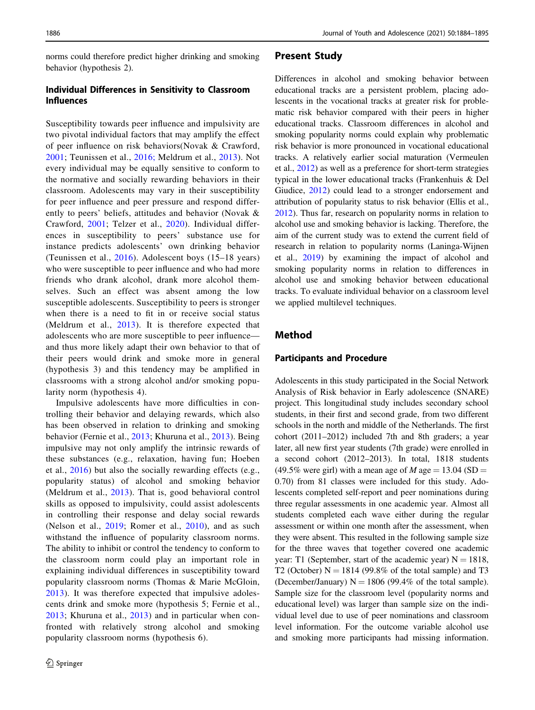norms could therefore predict higher drinking and smoking behavior (hypothesis 2).

# Individual Differences in Sensitivity to Classroom Influences

Susceptibility towards peer influence and impulsivity are two pivotal individual factors that may amplify the effect of peer influence on risk behaviors(Novak & Crawford, [2001;](#page-11-0) Teunissen et al., [2016;](#page-11-0) Meldrum et al., [2013\)](#page-10-0). Not every individual may be equally sensitive to conform to the normative and socially rewarding behaviors in their classroom. Adolescents may vary in their susceptibility for peer influence and peer pressure and respond differently to peers' beliefs, attitudes and behavior (Novak & Crawford, [2001](#page-11-0); Telzer et al., [2020\)](#page-11-0). Individual differences in susceptibility to peers' substance use for instance predicts adolescents' own drinking behavior (Teunissen et al., [2016](#page-11-0)). Adolescent boys (15–18 years) who were susceptible to peer influence and who had more friends who drank alcohol, drank more alcohol themselves. Such an effect was absent among the low susceptible adolescents. Susceptibility to peers is stronger when there is a need to fit in or receive social status (Meldrum et al., [2013](#page-10-0)). It is therefore expected that adolescents who are more susceptible to peer influence and thus more likely adapt their own behavior to that of their peers would drink and smoke more in general (hypothesis 3) and this tendency may be amplified in classrooms with a strong alcohol and/or smoking popularity norm (hypothesis 4).

Impulsive adolescents have more difficulties in controlling their behavior and delaying rewards, which also has been observed in relation to drinking and smoking behavior (Fernie et al., [2013;](#page-10-0) Khuruna et al., [2013](#page-10-0)). Being impulsive may not only amplify the intrinsic rewards of these substances (e.g., relaxation, having fun; Hoeben et al., [2016](#page-10-0)) but also the socially rewarding effects (e.g., popularity status) of alcohol and smoking behavior (Meldrum et al., [2013\)](#page-10-0). That is, good behavioral control skills as opposed to impulsivity, could assist adolescents in controlling their response and delay social rewards (Nelson et al., [2019;](#page-10-0) Romer et al., [2010](#page-11-0)), and as such withstand the influence of popularity classroom norms. The ability to inhibit or control the tendency to conform to the classroom norm could play an important role in explaining individual differences in susceptibility toward popularity classroom norms (Thomas & Marie McGloin, [2013\)](#page-11-0). It was therefore expected that impulsive adolescents drink and smoke more (hypothesis 5; Fernie et al., [2013;](#page-10-0) Khuruna et al., [2013](#page-10-0)) and in particular when confronted with relatively strong alcohol and smoking popularity classroom norms (hypothesis 6).

### Present Study

Differences in alcohol and smoking behavior between educational tracks are a persistent problem, placing adolescents in the vocational tracks at greater risk for problematic risk behavior compared with their peers in higher educational tracks. Classroom differences in alcohol and smoking popularity norms could explain why problematic risk behavior is more pronounced in vocational educational tracks. A relatively earlier social maturation (Vermeulen et al., [2012\)](#page-11-0) as well as a preference for short-term strategies typical in the lower educational tracks (Frankenhuis & Del Giudice, [2012](#page-10-0)) could lead to a stronger endorsement and attribution of popularity status to risk behavior (Ellis et al., [2012](#page-10-0)). Thus far, research on popularity norms in relation to alcohol use and smoking behavior is lacking. Therefore, the aim of the current study was to extend the current field of research in relation to popularity norms (Laninga-Wijnen et al., [2019](#page-10-0)) by examining the impact of alcohol and smoking popularity norms in relation to differences in alcohol use and smoking behavior between educational tracks. To evaluate individual behavior on a classroom level we applied multilevel techniques.

### Method

### Participants and Procedure

Adolescents in this study participated in the Social Network Analysis of Risk behavior in Early adolescence (SNARE) project. This longitudinal study includes secondary school students, in their first and second grade, from two different schools in the north and middle of the Netherlands. The first cohort (2011–2012) included 7th and 8th graders; a year later, all new first year students (7th grade) were enrolled in a second cohort (2012–2013). In total, 1818 students (49.5% were girl) with a mean age of  $M$  age = 13.04 (SD = 0.70) from 81 classes were included for this study. Adolescents completed self-report and peer nominations during three regular assessments in one academic year. Almost all students completed each wave either during the regular assessment or within one month after the assessment, when they were absent. This resulted in the following sample size for the three waves that together covered one academic year: T1 (September, start of the academic year)  $N = 1818$ , T2 (October)  $N = 1814$  (99.8% of the total sample) and T3 (December/January)  $N = 1806$  (99.4% of the total sample). Sample size for the classroom level (popularity norms and educational level) was larger than sample size on the individual level due to use of peer nominations and classroom level information. For the outcome variable alcohol use and smoking more participants had missing information.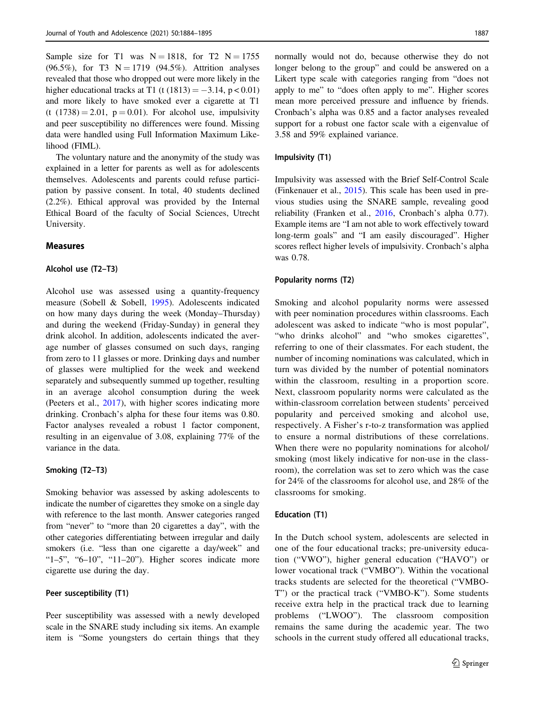Sample size for T1 was  $N = 1818$ , for T2  $N = 1755$ (96.5%), for T3  $N = 1719$  (94.5%). Attrition analyses revealed that those who dropped out were more likely in the higher educational tracks at T1 (t  $(1813) = -3.14$ , p < 0.01) and more likely to have smoked ever a cigarette at T1 (t  $(1738) = 2.01$ ,  $p = 0.01$ ). For alcohol use, impulsivity and peer susceptibility no differences were found. Missing data were handled using Full Information Maximum Likelihood (FIML).

The voluntary nature and the anonymity of the study was explained in a letter for parents as well as for adolescents themselves. Adolescents and parents could refuse participation by passive consent. In total, 40 students declined (2.2%). Ethical approval was provided by the Internal Ethical Board of the faculty of Social Sciences, Utrecht University.

#### Measures

#### Alcohol use (T2–T3)

Alcohol use was assessed using a quantity-frequency measure (Sobell & Sobell, [1995](#page-11-0)). Adolescents indicated on how many days during the week (Monday–Thursday) and during the weekend (Friday-Sunday) in general they drink alcohol. In addition, adolescents indicated the average number of glasses consumed on such days, ranging from zero to 11 glasses or more. Drinking days and number of glasses were multiplied for the week and weekend separately and subsequently summed up together, resulting in an average alcohol consumption during the week (Peeters et al., [2017\)](#page-11-0), with higher scores indicating more drinking. Cronbach's alpha for these four items was 0.80. Factor analyses revealed a robust 1 factor component, resulting in an eigenvalue of 3.08, explaining 77% of the variance in the data.

### Smoking (T2–T3)

Smoking behavior was assessed by asking adolescents to indicate the number of cigarettes they smoke on a single day with reference to the last month. Answer categories ranged from "never" to "more than 20 cigarettes a day", with the other categories differentiating between irregular and daily smokers (i.e. "less than one cigarette a day/week" and " $1-5$ ", " $6-10$ ", " $11-20$ "). Higher scores indicate more cigarette use during the day.

### Peer susceptibility (T1)

Peer susceptibility was assessed with a newly developed scale in the SNARE study including six items. An example item is "Some youngsters do certain things that they normally would not do, because otherwise they do not longer belong to the group" and could be answered on a Likert type scale with categories ranging from "does not apply to me" to "does often apply to me". Higher scores mean more perceived pressure and influence by friends. Cronbach's alpha was 0.85 and a factor analyses revealed support for a robust one factor scale with a eigenvalue of 3.58 and 59% explained variance.

#### Impulsivity (T1)

Impulsivity was assessed with the Brief Self-Control Scale (Finkenauer et al., [2015](#page-10-0)). This scale has been used in previous studies using the SNARE sample, revealing good reliability (Franken et al., [2016,](#page-10-0) Cronbach's alpha 0.77). Example items are "I am not able to work effectively toward long-term goals" and "I am easily discouraged". Higher scores reflect higher levels of impulsivity. Cronbach's alpha was 0.78.

### Popularity norms (T2)

Smoking and alcohol popularity norms were assessed with peer nomination procedures within classrooms. Each adolescent was asked to indicate "who is most popular", "who drinks alcohol" and "who smokes cigarettes", referring to one of their classmates. For each student, the number of incoming nominations was calculated, which in turn was divided by the number of potential nominators within the classroom, resulting in a proportion score. Next, classroom popularity norms were calculated as the within-classroom correlation between students' perceived popularity and perceived smoking and alcohol use, respectively. A Fisher's r-to-z transformation was applied to ensure a normal distributions of these correlations. When there were no popularity nominations for alcohol/ smoking (most likely indicative for non-use in the classroom), the correlation was set to zero which was the case for 24% of the classrooms for alcohol use, and 28% of the classrooms for smoking.

#### Education (T1)

In the Dutch school system, adolescents are selected in one of the four educational tracks; pre-university education ("VWO"), higher general education ("HAVO") or lower vocational track ("VMBO"). Within the vocational tracks students are selected for the theoretical ("VMBO-T") or the practical track ("VMBO-K"). Some students receive extra help in the practical track due to learning problems ("LWOO"). The classroom composition remains the same during the academic year. The two schools in the current study offered all educational tracks,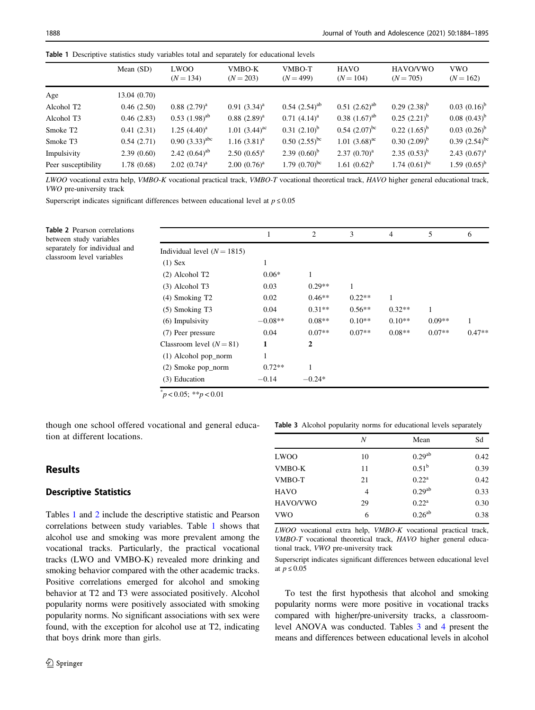|  | Table 1 Descriptive statistics study variables total and separately for educational levels |  |  |  |  |  |  |  |  |  |  |
|--|--------------------------------------------------------------------------------------------|--|--|--|--|--|--|--|--|--|--|
|--|--------------------------------------------------------------------------------------------|--|--|--|--|--|--|--|--|--|--|

|                        | Mean $(SD)$ | <b>LWOO</b><br>$(N = 134)$  | VMBO-K<br>$(N = 203)$ | VMBO-T<br>$(N = 499)$ | <b>HAVO</b><br>$(N = 104)$ | HAVO/VWO<br>$(N = 705)$ | <b>VWO</b><br>$(N = 162)$   |  |  |
|------------------------|-------------|-----------------------------|-----------------------|-----------------------|----------------------------|-------------------------|-----------------------------|--|--|
| Age                    | 13.04(0.70) |                             |                       |                       |                            |                         |                             |  |  |
| Alcohol T <sub>2</sub> | 0.46(2.50)  | $0.88~(2.79)^{a}$           | $0.91(3.34)^{a}$      | $0.54$ $(2.54)^{ab}$  | $0.51$ $(2.62)^{ab}$       | $0.29$ $(2.38)^{b}$     | $0.03 (0.16)^b$             |  |  |
| Alcohol T3             | 0.46(2.83)  | $0.53$ $(1.98)^{ab}$        | $0.88~(2.89)^a$       | $0.71~(4.14)^a$       | $0.38$ $(1.67)^{ab}$       | $0.25$ $(2.21)^{b}$     | $0.08~(0.43)^{b}$           |  |  |
| Smoke T <sub>2</sub>   | 0.41(2.31)  | $1.25$ $(4.40)^a$           | $1.01 (3.44)^{ac}$    | $0.31 (2.10)^b$       | $0.54$ $(2.07)^{bc}$       | $0.22$ $(1.65)^{b}$     | $0.03~(0.26)^b$             |  |  |
| Smoke T3               | 0.54(2.71)  | $0.90(3.33)^{abc}$          | $1.16 (3.81)^a$       | $0.50$ $(2.55)^{bc}$  | $1.01 (3.68)^{ac}$         | $0.30~(2.09)^b$         | 0.39 $(2.54)$ <sup>bc</sup> |  |  |
| Impulsivity            | 2.39(0.60)  | 2.42 $(0.64)$ <sup>ab</sup> | $2.50(0.65)^{a}$      | 2.39 $(0.60)^b$       | $2.37 (0.70)^a$            | $2.35(0.53)^{b}$        | $2.43 (0.67)^a$             |  |  |
| Peer susceptibility    | 1.78(0.68)  | $2.02~(0.74)^a$             | $2.00~(0.76)^a$       | 1.79 $(0.70)^{bc}$    | 1.61 $(0.62)^b$            | 1.74 $(0.61)^{bc}$      | 1.59 $(0.65)^{b}$           |  |  |

LWOO vocational extra help, VMBO-K vocational practical track, VMBO-T vocational theoretical track, HAVO higher general educational track, VWO pre-university track

Superscript indicates significant differences between educational level at  $p \le 0.05$ 

Table 2 Pearson correlations between study variables separately for individual and classroom level variables

|                               | 1         | $\overline{c}$ | 3        | $\overline{4}$ | 5        | 6        |
|-------------------------------|-----------|----------------|----------|----------------|----------|----------|
| Individual level $(N = 1815)$ |           |                |          |                |          |          |
| $(1)$ Sex                     | 1         |                |          |                |          |          |
| (2) Alcohol T <sub>2</sub>    | $0.06*$   | 1              |          |                |          |          |
| $(3)$ Alcohol T3              | 0.03      | $0.29**$       | 1        |                |          |          |
| $(4)$ Smoking T <sub>2</sub>  | 0.02      | $0.46**$       | $0.22**$ | 1              |          |          |
| $(5)$ Smoking T3              | 0.04      | $0.31**$       | $0.56**$ | $0.32**$       | 1        |          |
| (6) Impulsivity               | $-0.08**$ | $0.08**$       | $0.10**$ | $0.10**$       | $0.09**$ | 1        |
| (7) Peer pressure             | 0.04      | $0.07**$       | $0.07**$ | $0.08**$       | $0.07**$ | $0.47**$ |
| Classroom level $(N = 81)$    | 1         | 2              |          |                |          |          |
| (1) Alcohol pop_norm          |           |                |          |                |          |          |
| (2) Smoke pop_norm            | $0.72**$  | 1              |          |                |          |          |
| (3) Education                 | $-0.14$   | $-0.24*$       |          |                |          |          |

 $\mu$  < 0.05; \*\*p < 0.01

though one school offered vocational and general education at different locations.

# Results

### Descriptive Statistics

Tables 1 and 2 include the descriptive statistic and Pearson correlations between study variables. Table 1 shows that alcohol use and smoking was more prevalent among the vocational tracks. Particularly, the practical vocational tracks (LWO and VMBO-K) revealed more drinking and smoking behavior compared with the other academic tracks. Positive correlations emerged for alcohol and smoking behavior at T2 and T3 were associated positively. Alcohol popularity norms were positively associated with smoking popularity norms. No significant associations with sex were found, with the exception for alcohol use at T2, indicating that boys drink more than girls.

Table 3 Alcohol popularity norms for educational levels separately

|             | N  | Mean               | Sd   |
|-------------|----|--------------------|------|
| <b>LWOO</b> | 10 | $0.29^{ab}$        | 0.42 |
| VMBO-K      | 11 | 0.51 <sup>b</sup>  | 0.39 |
| VMBO-T      | 21 | $0.22^a$           | 0.42 |
| <b>HAVO</b> | 4  | 0.29 <sup>ab</sup> | 0.33 |
| HAVO/VWO    | 29 | $0.22^a$           | 0.30 |
| <b>VWO</b>  | 6  | $0.26^{ab}$        | 0.38 |

LWOO vocational extra help, VMBO-K vocational practical track, VMBO-T vocational theoretical track, HAVO higher general educational track, VWO pre-university track

Superscript indicates significant differences between educational level at  $p \le 0.05$ 

To test the first hypothesis that alcohol and smoking popularity norms were more positive in vocational tracks compared with higher/pre-university tracks, a classroomlevel ANOVA was conducted. Tables 3 and [4](#page-5-0) present the means and differences between educational levels in alcohol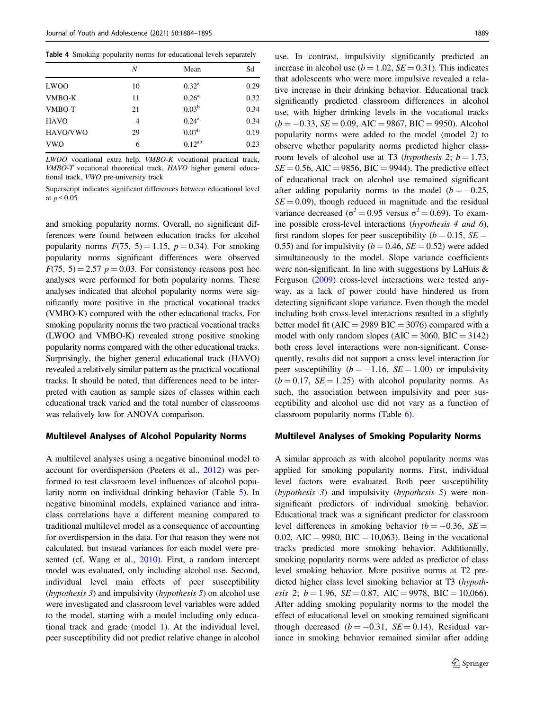<span id="page-5-0"></span>

|  |  |  |  |  | Table 4 Smoking popularity norms for educational levels separately |  |  |
|--|--|--|--|--|--------------------------------------------------------------------|--|--|
|--|--|--|--|--|--------------------------------------------------------------------|--|--|

|             | N  | Mean              | Sd   |
|-------------|----|-------------------|------|
| <b>LWOO</b> | 10 | $0.32^{\rm a}$    | 0.29 |
| VMBO-K      | 11 | $0.26^{\rm a}$    | 0.32 |
| VMBO-T      | 21 | 0.03 <sup>b</sup> | 0.34 |
| <b>HAVO</b> | 4  | $0.24^a$          | 0.34 |
| HAVO/VWO    | 29 | 0.07 <sup>b</sup> | 0.19 |
| <b>VWO</b>  | 6  | $0.12^{ab}$       | 0.23 |
|             |    |                   |      |

LWOO vocational extra help, VMBO-K vocational practical track, VMBO-T vocational theoretical track, HAVO higher general educational track, VWO pre-university track

Superscript indicates significant differences between educational level at  $p \leq 0.05$ 

and smoking popularity norms. Overall, no significant differences were found between education tracks for alcohol popularity norms  $F(75, 5) = 1.15$ ,  $p = 0.34$ ). For smoking popularity norms significant differences were observed  $F(75, 5) = 2.57$   $p = 0.03$ . For consistency reasons post hoc analyses were performed for both popularity norms. These analyses indicated that alcohol popularity norms were significantly more positive in the practical vocational tracks (VMBO-K) compared with the other educational tracks. For smoking popularity norms the two practical vocational tracks (LWOO and VMBO-K) revealed strong positive smoking popularity norms compared with the other educational tracks. Surprisingly, the higher general educational track (HAVO) revealed a relatively similar pattern as the practical vocational tracks. It should be noted, that differences need to be interpreted with caution as sample sizes of classes within each educational track varied and the total number of classrooms was relatively low for ANOVA comparison.

#### Multilevel Analyses of Alcohol Popularity Norms

A multilevel analyses using a negative binominal model to account for overdispersion (Peeters et al., [2012\)](#page-11-0) was performed to test classroom level influences of alcohol popularity norm on individual drinking behavior (Table [5\)](#page-6-0). In negative binominal models, explained variance and intraclass correlations have a different meaning compared to traditional multilevel model as a consequence of accounting for overdispersion in the data. For that reason they were not calculated, but instead variances for each model were presented (cf. Wang et al., [2010](#page-11-0)). First, a random intercept model was evaluated, only including alcohol use. Second, individual level main effects of peer susceptibility (hypothesis 3) and impulsivity (hypothesis 5) on alcohol use were investigated and classroom level variables were added to the model, starting with a model including only educational track and grade (model 1). At the individual level, peer susceptibility did not predict relative change in alcohol use. In contrast, impulsivity significantly predicted an increase in alcohol use ( $b = 1.02$ ,  $SE = 0.31$ ). This indicates that adolescents who were more impulsive revealed a relative increase in their drinking behavior. Educational track significantly predicted classroom differences in alcohol use, with higher drinking levels in the vocational tracks  $(b = -0.33, SE = 0.09, AIC = 9867, BIC = 9950)$ . Alcohol popularity norms were added to the model (model 2) to observe whether popularity norms predicted higher classroom levels of alcohol use at T3 (hypothesis 2;  $b = 1.73$ ,  $SE = 0.56$ , AIC = 9856, BIC = 9944). The predictive effect of educational track on alcohol use remained significant after adding popularity norms to the model ( $b = -0.25$ ,  $SE = 0.09$ , though reduced in magnitude and the residual variance decreased ( $\sigma^2 = 0.95$  versus  $\sigma^2 = 0.69$ ). To examine possible cross-level interactions (hypothesis 4 and 6), first random slopes for peer susceptibility ( $b = 0.15$ ,  $SE =$ 0.55) and for impulsivity ( $b = 0.46$ ,  $SE = 0.52$ ) were added simultaneously to the model. Slope variance coefficients were non-significant. In line with suggestions by LaHuis & Ferguson ([2009\)](#page-10-0) cross-level interactions were tested anyway, as a lack of power could have hindered us from detecting significant slope variance. Even though the model including both cross-level interactions resulted in a slightly better model fit ( $AIC = 2989$  BIC = 3076) compared with a model with only random slopes  $(AIC = 3060, BIC = 3142)$ both cross level interactions were non-significant. Consequently, results did not support a cross level interaction for peer susceptibility ( $b = -1.16$ ,  $SE = 1.00$ ) or impulsivity  $(b = 0.17, SE = 1.25)$  with alcohol popularity norms. As such, the association between impulsivity and peer susceptibility and alcohol use did not vary as a function of classroom popularity norms (Table [6\)](#page-6-0).

### Multilevel Analyses of Smoking Popularity Norms

A similar approach as with alcohol popularity norms was applied for smoking popularity norms. First, individual level factors were evaluated. Both peer susceptibility (hypothesis 3) and impulsivity (hypothesis 5) were nonsignificant predictors of individual smoking behavior. Educational track was a significant predictor for classroom level differences in smoking behavior ( $b = -0.36$ ,  $SE =$ 0.02, AIC = 9980, BIC = 10,063). Being in the vocational tracks predicted more smoking behavior. Additionally, smoking popularity norms were added as predictor of class level smoking behavior. More positive norms at T2 predicted higher class level smoking behavior at T3 (hypothesis 2;  $b = 1.96$ ,  $SE = 0.87$ ,  $AIC = 9978$ ,  $BIC = 10,066$ . After adding smoking popularity norms to the model the effect of educational level on smoking remained significant though decreased ( $b = -0.31$ ,  $SE = 0.14$ ). Residual variance in smoking behavior remained similar after adding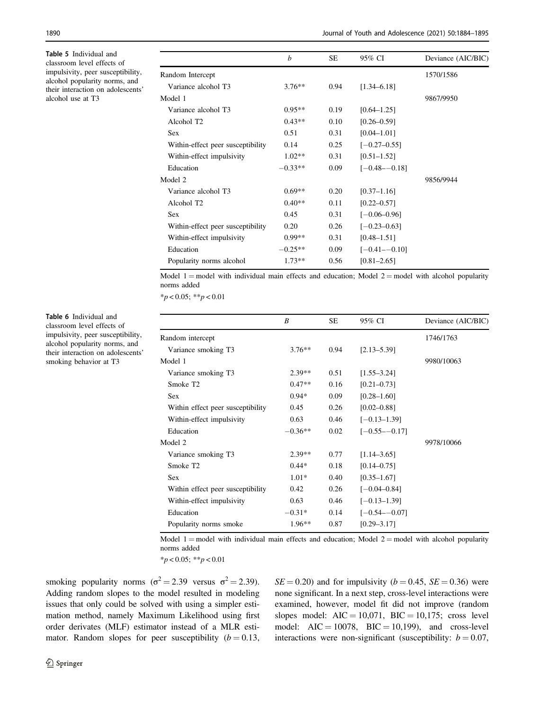<span id="page-6-0"></span>Table 5 Individual and classroom level effects of impulsivity, peer susceptibility, alcohol popularity norms, and their interaction on adolescents' alcohol use at T3

|                                   | b         | SE   | 95% CI            | Deviance (AIC/BIC) |
|-----------------------------------|-----------|------|-------------------|--------------------|
| Random Intercept                  |           |      |                   | 1570/1586          |
| Variance alcohol T3               | $3.76**$  | 0.94 | $[1.34 - 6.18]$   |                    |
| Model 1                           |           |      |                   | 9867/9950          |
| Variance alcohol T3               | $0.95**$  | 0.19 | $[0.64 - 1.25]$   |                    |
| Alcohol T <sub>2</sub>            | $0.43**$  | 0.10 | $[0.26 - 0.59]$   |                    |
| <b>Sex</b>                        | 0.51      | 0.31 | $[0.04 - 1.01]$   |                    |
| Within-effect peer susceptibility | 0.14      | 0.25 | $[-0.27 - 0.55]$  |                    |
| Within-effect impulsivity         | $1.02**$  | 0.31 | $[0.51 - 1.52]$   |                    |
| Education                         | $-0.33**$ | 0.09 | $[-0.48 - -0.18]$ |                    |
| Model 2                           |           |      |                   | 9856/9944          |
| Variance alcohol T3               | $0.69**$  | 0.20 | $[0.37 - 1.16]$   |                    |
| Alcohol T <sub>2</sub>            | $0.40**$  | 0.11 | $[0.22 - 0.57]$   |                    |
| Sex                               | 0.45      | 0.31 | $[-0.06 - 0.96]$  |                    |
| Within-effect peer susceptibility | 0.20      | 0.26 | $[-0.23 - 0.63]$  |                    |
| Within-effect impulsivity         | $0.99**$  | 0.31 | $[0.48 - 1.51]$   |                    |
| Education                         | $-0.25**$ | 0.09 | $[-0.41 - 0.10]$  |                    |
| Popularity norms alcohol          | $1.73**$  | 0.56 | $[0.81 - 2.65]$   |                    |

Model 1 = model with individual main effects and education; Model 2 = model with alcohol popularity norms added

 $*_{p}$  < 0.05; \*\*p < 0.01

|                                   | B         | <b>SE</b> | 95% CI           | Deviance (AIC/BIC) |
|-----------------------------------|-----------|-----------|------------------|--------------------|
| Random intercept                  |           |           |                  | 1746/1763          |
| Variance smoking T3               | $3.76**$  | 0.94      | $[2.13 - 5.39]$  |                    |
| Model 1                           |           |           |                  | 9980/10063         |
| Variance smoking T3               | $2.39**$  | 0.51      | $[1.55 - 3.24]$  |                    |
| Smoke T <sub>2</sub>              | $0.47**$  | 0.16      | $[0.21 - 0.73]$  |                    |
| <b>Sex</b>                        | $0.94*$   | 0.09      | $[0.28 - 1.60]$  |                    |
| Within effect peer susceptibility | 0.45      | 0.26      | $[0.02 - 0.88]$  |                    |
| Within-effect impulsivity         | 0.63      | 0.46      | $[-0.13 - 1.39]$ |                    |
| Education                         | $-0.36**$ | 0.02      | $[-0.55 - 0.17]$ |                    |
| Model 2                           |           |           |                  | 9978/10066         |
| Variance smoking T3               | $2.39**$  | 0.77      | $[1.14 - 3.65]$  |                    |
| Smoke T <sub>2</sub>              | $0.44*$   | 0.18      | $[0.14 - 0.75]$  |                    |
| <b>Sex</b>                        | $1.01*$   | 0.40      | $[0.35 - 1.67]$  |                    |
| Within effect peer susceptibility | 0.42      | 0.26      | $[-0.04 - 0.84]$ |                    |
| Within-effect impulsivity         | 0.63      | 0.46      | $[-0.13 - 1.39]$ |                    |
| Education                         | $-0.31*$  | 0.14      | $[-0.54 - 0.07]$ |                    |
| Popularity norms smoke            | $1.96**$  | 0.87      | $[0.29 - 3.17]$  |                    |

Model 1 = model with individual main effects and education; Model 2 = model with alcohol popularity norms added

 $*_{p}$  < 0.05;  $*_{p}$  < 0.01

smoking popularity norms ( $\sigma^2 = 2.39$  versus  $\sigma^2 = 2.39$ ). Adding random slopes to the model resulted in modeling issues that only could be solved with using a simpler estimation method, namely Maximum Likelihood using first order derivates (MLF) estimator instead of a MLR estimator. Random slopes for peer susceptibility  $(b = 0.13,$ 

 $SE = 0.20$ ) and for impulsivity ( $b = 0.45$ ,  $SE = 0.36$ ) were none significant. In a next step, cross-level interactions were examined, however, model fit did not improve (random slopes model:  $AIC = 10,071$ ,  $BIC = 10,175$ ; cross level model:  $AIC = 10078$ ,  $BIC = 10,199$ ), and cross-level interactions were non-significant (susceptibility:  $b = 0.07$ ,

Table 6 Individual and classroom level effects of impulsivity, peer susceptibility, alcohol popularity norms, and their interaction on adolescents' smoking behavior at T3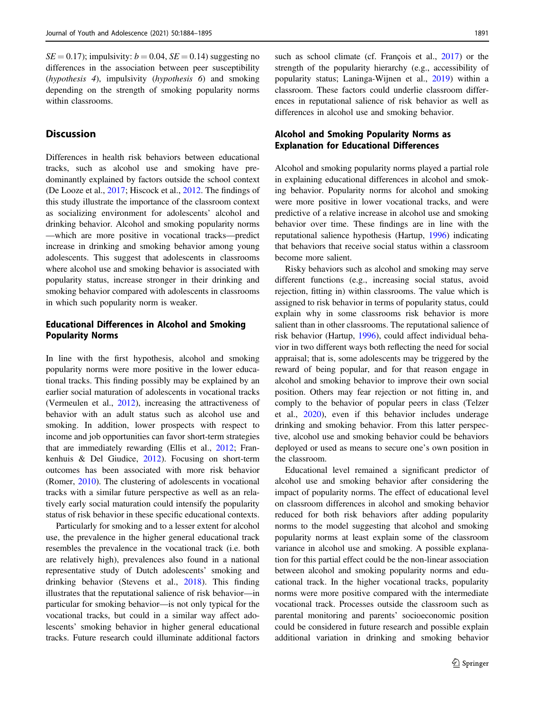$SE = 0.17$ ; impulsivity:  $b = 0.04$ ,  $SE = 0.14$ ) suggesting no differences in the association between peer susceptibility (hypothesis 4), impulsivity (hypothesis 6) and smoking depending on the strength of smoking popularity norms within classrooms.

# Discussion

Differences in health risk behaviors between educational tracks, such as alcohol use and smoking have predominantly explained by factors outside the school context (De Looze et al., [2017;](#page-10-0) Hiscock et al., [2012.](#page-10-0) The findings of this study illustrate the importance of the classroom context as socializing environment for adolescents' alcohol and drinking behavior. Alcohol and smoking popularity norms —which are more positive in vocational tracks—predict increase in drinking and smoking behavior among young adolescents. This suggest that adolescents in classrooms where alcohol use and smoking behavior is associated with popularity status, increase stronger in their drinking and smoking behavior compared with adolescents in classrooms in which such popularity norm is weaker.

# Educational Differences in Alcohol and Smoking Popularity Norms

In line with the first hypothesis, alcohol and smoking popularity norms were more positive in the lower educational tracks. This finding possibly may be explained by an earlier social maturation of adolescents in vocational tracks (Vermeulen et al., [2012\)](#page-11-0), increasing the attractiveness of behavior with an adult status such as alcohol use and smoking. In addition, lower prospects with respect to income and job opportunities can favor short-term strategies that are immediately rewarding (Ellis et al., [2012](#page-10-0); Frankenhuis & Del Giudice, [2012\)](#page-10-0). Focusing on short-term outcomes has been associated with more risk behavior (Romer, [2010\)](#page-11-0). The clustering of adolescents in vocational tracks with a similar future perspective as well as an relatively early social maturation could intensify the popularity status of risk behavior in these specific educational contexts.

Particularly for smoking and to a lesser extent for alcohol use, the prevalence in the higher general educational track resembles the prevalence in the vocational track (i.e. both are relatively high), prevalences also found in a national representative study of Dutch adolescents' smoking and drinking behavior (Stevens et al., [2018\)](#page-11-0). This finding illustrates that the reputational salience of risk behavior—in particular for smoking behavior—is not only typical for the vocational tracks, but could in a similar way affect adolescents' smoking behavior in higher general educational tracks. Future research could illuminate additional factors such as school climate (cf. François et al., [2017](#page-10-0)) or the strength of the popularity hierarchy (e.g., accessibility of popularity status; Laninga-Wijnen et al., [2019](#page-10-0)) within a classroom. These factors could underlie classroom differences in reputational salience of risk behavior as well as differences in alcohol use and smoking behavior.

# Alcohol and Smoking Popularity Norms as Explanation for Educational Differences

Alcohol and smoking popularity norms played a partial role in explaining educational differences in alcohol and smoking behavior. Popularity norms for alcohol and smoking were more positive in lower vocational tracks, and were predictive of a relative increase in alcohol use and smoking behavior over time. These findings are in line with the reputational salience hypothesis (Hartup, [1996](#page-10-0)) indicating that behaviors that receive social status within a classroom become more salient.

Risky behaviors such as alcohol and smoking may serve different functions (e.g., increasing social status, avoid rejection, fitting in) within classrooms. The value which is assigned to risk behavior in terms of popularity status, could explain why in some classrooms risk behavior is more salient than in other classrooms. The reputational salience of risk behavior (Hartup, [1996\)](#page-10-0), could affect individual behavior in two different ways both reflecting the need for social appraisal; that is, some adolescents may be triggered by the reward of being popular, and for that reason engage in alcohol and smoking behavior to improve their own social position. Others may fear rejection or not fitting in, and comply to the behavior of popular peers in class (Telzer et al., [2020\)](#page-11-0), even if this behavior includes underage drinking and smoking behavior. From this latter perspective, alcohol use and smoking behavior could be behaviors deployed or used as means to secure one's own position in the classroom.

Educational level remained a significant predictor of alcohol use and smoking behavior after considering the impact of popularity norms. The effect of educational level on classroom differences in alcohol and smoking behavior reduced for both risk behaviors after adding popularity norms to the model suggesting that alcohol and smoking popularity norms at least explain some of the classroom variance in alcohol use and smoking. A possible explanation for this partial effect could be the non-linear association between alcohol and smoking popularity norms and educational track. In the higher vocational tracks, popularity norms were more positive compared with the intermediate vocational track. Processes outside the classroom such as parental monitoring and parents' socioeconomic position could be considered in future research and possible explain additional variation in drinking and smoking behavior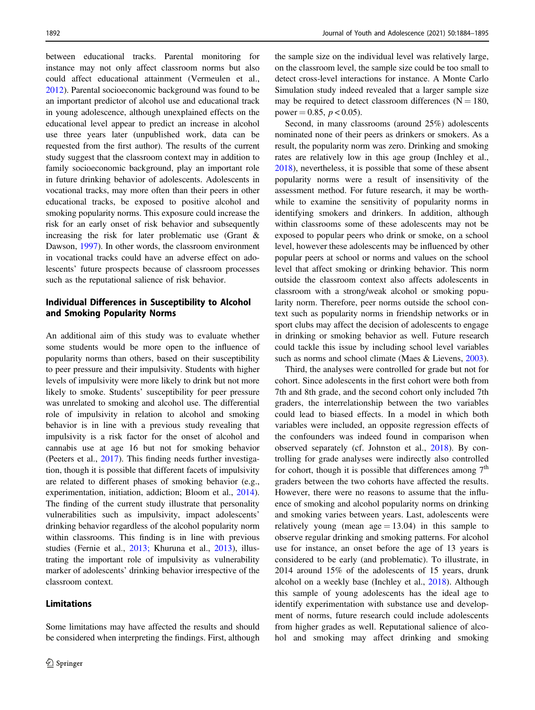between educational tracks. Parental monitoring for instance may not only affect classroom norms but also could affect educational attainment (Vermeulen et al., [2012\)](#page-11-0). Parental socioeconomic background was found to be an important predictor of alcohol use and educational track in young adolescence, although unexplained effects on the educational level appear to predict an increase in alcohol use three years later (unpublished work, data can be requested from the first author). The results of the current study suggest that the classroom context may in addition to family socioeconomic background, play an important role in future drinking behavior of adolescents. Adolescents in vocational tracks, may more often than their peers in other educational tracks, be exposed to positive alcohol and smoking popularity norms. This exposure could increase the risk for an early onset of risk behavior and subsequently increasing the risk for later problematic use (Grant & Dawson, [1997\)](#page-10-0). In other words, the classroom environment in vocational tracks could have an adverse effect on adolescents' future prospects because of classroom processes such as the reputational salience of risk behavior.

# Individual Differences in Susceptibility to Alcohol and Smoking Popularity Norms

An additional aim of this study was to evaluate whether some students would be more open to the influence of popularity norms than others, based on their susceptibility to peer pressure and their impulsivity. Students with higher levels of impulsivity were more likely to drink but not more likely to smoke. Students' susceptibility for peer pressure was unrelated to smoking and alcohol use. The differential role of impulsivity in relation to alcohol and smoking behavior is in line with a previous study revealing that impulsivity is a risk factor for the onset of alcohol and cannabis use at age 16 but not for smoking behavior (Peeters et al., [2017](#page-11-0)). This finding needs further investigation, though it is possible that different facets of impulsivity are related to different phases of smoking behavior (e.g., experimentation, initiation, addiction; Bloom et al., [2014](#page-9-0)). The finding of the current study illustrate that personality vulnerabilities such as impulsivity, impact adolescents' drinking behavior regardless of the alcohol popularity norm within classrooms. This finding is in line with previous studies (Fernie et al., [2013;](#page-10-0) Khuruna et al., [2013\)](#page-10-0), illustrating the important role of impulsivity as vulnerability marker of adolescents' drinking behavior irrespective of the classroom context.

### Limitations

Some limitations may have affected the results and should be considered when interpreting the findings. First, although

the sample size on the individual level was relatively large, on the classroom level, the sample size could be too small to detect cross-level interactions for instance. A Monte Carlo Simulation study indeed revealed that a larger sample size may be required to detect classroom differences ( $N = 180$ , power = 0.85,  $p < 0.05$ ).

Second, in many classrooms (around 25%) adolescents nominated none of their peers as drinkers or smokers. As a result, the popularity norm was zero. Drinking and smoking rates are relatively low in this age group (Inchley et al., [2018](#page-10-0)), nevertheless, it is possible that some of these absent popularity norms were a result of insensitivity of the assessment method. For future research, it may be worthwhile to examine the sensitivity of popularity norms in identifying smokers and drinkers. In addition, although within classrooms some of these adolescents may not be exposed to popular peers who drink or smoke, on a school level, however these adolescents may be influenced by other popular peers at school or norms and values on the school level that affect smoking or drinking behavior. This norm outside the classroom context also affects adolescents in classroom with a strong/weak alcohol or smoking popularity norm. Therefore, peer norms outside the school context such as popularity norms in friendship networks or in sport clubs may affect the decision of adolescents to engage in drinking or smoking behavior as well. Future research could tackle this issue by including school level variables such as norms and school climate (Maes & Lievens, [2003\)](#page-10-0).

Third, the analyses were controlled for grade but not for cohort. Since adolescents in the first cohort were both from 7th and 8th grade, and the second cohort only included 7th graders, the interrelationship between the two variables could lead to biased effects. In a model in which both variables were included, an opposite regression effects of the confounders was indeed found in comparison when observed separately (cf. Johnston et al., [2018\)](#page-10-0). By controlling for grade analyses were indirectly also controlled for cohort, though it is possible that differences among  $7<sup>th</sup>$ graders between the two cohorts have affected the results. However, there were no reasons to assume that the influence of smoking and alcohol popularity norms on drinking and smoking varies between years. Last, adolescents were relatively young (mean  $age = 13.04$ ) in this sample to observe regular drinking and smoking patterns. For alcohol use for instance, an onset before the age of 13 years is considered to be early (and problematic). To illustrate, in 2014 around 15% of the adolescents of 15 years, drunk alcohol on a weekly base (Inchley et al., [2018](#page-10-0)). Although this sample of young adolescents has the ideal age to identify experimentation with substance use and development of norms, future research could include adolescents from higher grades as well. Reputational salience of alcohol and smoking may affect drinking and smoking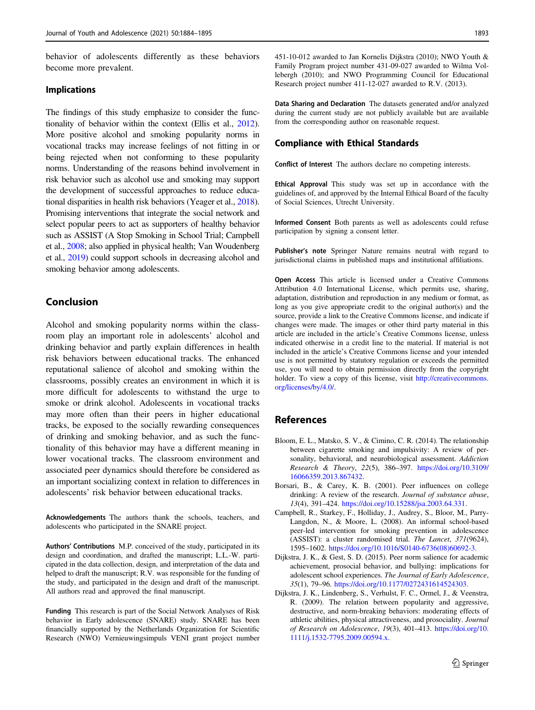<span id="page-9-0"></span>behavior of adolescents differently as these behaviors become more prevalent.

#### Implications

The findings of this study emphasize to consider the functionality of behavior within the context (Ellis et al., [2012\)](#page-10-0). More positive alcohol and smoking popularity norms in vocational tracks may increase feelings of not fitting in or being rejected when not conforming to these popularity norms. Understanding of the reasons behind involvement in risk behavior such as alcohol use and smoking may support the development of successful approaches to reduce educational disparities in health risk behaviors (Yeager et al., [2018\)](#page-11-0). Promising interventions that integrate the social network and select popular peers to act as supporters of healthy behavior such as ASSIST (A Stop Smoking in School Trial; Campbell et al., 2008; also applied in physical health; Van Woudenberg et al., [2019\)](#page-11-0) could support schools in decreasing alcohol and smoking behavior among adolescents.

### Conclusion

Alcohol and smoking popularity norms within the classroom play an important role in adolescents' alcohol and drinking behavior and partly explain differences in health risk behaviors between educational tracks. The enhanced reputational salience of alcohol and smoking within the classrooms, possibly creates an environment in which it is more difficult for adolescents to withstand the urge to smoke or drink alcohol. Adolescents in vocational tracks may more often than their peers in higher educational tracks, be exposed to the socially rewarding consequences of drinking and smoking behavior, and as such the functionality of this behavior may have a different meaning in lower vocational tracks. The classroom environment and associated peer dynamics should therefore be considered as an important socializing context in relation to differences in adolescents' risk behavior between educational tracks.

Acknowledgements The authors thank the schools, teachers, and adolescents who participated in the SNARE project.

Authors' Contributions M.P. conceived of the study, participated in its design and coordination, and drafted the manuscript; L.L.-W. participated in the data collection, design, and interpretation of the data and helped to draft the manuscript; R.V. was responsible for the funding of the study, and participated in the design and draft of the manuscript. All authors read and approved the final manuscript.

Funding This research is part of the Social Network Analyses of Risk behavior in Early adolescence (SNARE) study. SNARE has been financially supported by the Netherlands Organization for Scientific Research (NWO) Vernieuwingsimpuls VENI grant project number 451-10-012 awarded to Jan Kornelis Dijkstra (2010); NWO Youth & Family Program project number 431-09-027 awarded to Wilma Vollebergh (2010); and NWO Programming Council for Educational Research project number 411-12-027 awarded to R.V. (2013).

Data Sharing and Declaration The datasets generated and/or analyzed during the current study are not publicly available but are available from the corresponding author on reasonable request.

### Compliance with Ethical Standards

Conflict of Interest The authors declare no competing interests.

Ethical Approval This study was set up in accordance with the guidelines of, and approved by the Internal Ethical Board of the faculty of Social Sciences, Utrecht University.

Informed Consent Both parents as well as adolescents could refuse participation by signing a consent letter.

Publisher's note Springer Nature remains neutral with regard to jurisdictional claims in published maps and institutional affiliations.

Open Access This article is licensed under a Creative Commons Attribution 4.0 International License, which permits use, sharing, adaptation, distribution and reproduction in any medium or format, as long as you give appropriate credit to the original author(s) and the source, provide a link to the Creative Commons license, and indicate if changes were made. The images or other third party material in this article are included in the article's Creative Commons license, unless indicated otherwise in a credit line to the material. If material is not included in the article's Creative Commons license and your intended use is not permitted by statutory regulation or exceeds the permitted use, you will need to obtain permission directly from the copyright holder. To view a copy of this license, visit [http://creativecommons.](http://creativecommons.org/licenses/by/4.0/) [org/licenses/by/4.0/](http://creativecommons.org/licenses/by/4.0/).

# References

- Bloom, E. L., Matsko, S. V., & Cimino, C. R. (2014). The relationship between cigarette smoking and impulsivity: A review of personality, behavioral, and neurobiological assessment. Addiction Research & Theory, 22(5), 386–397. [https://doi.org/10.3109/](https://doi.org/10.3109/16066359.2013.867432) [16066359.2013.867432.](https://doi.org/10.3109/16066359.2013.867432)
- Borsari, B., & Carey, K. B. (2001). Peer influences on college drinking: A review of the research. Journal of substance abuse, 13(4), 391–424. <https://doi.org/10.15288/jsa.2003.64.331>.
- Campbell, R., Starkey, F., Holliday, J., Audrey, S., Bloor, M., Parry-Langdon, N., & Moore, L. (2008). An informal school-based peer-led intervention for smoking prevention in adolescence (ASSIST): a cluster randomised trial. The Lancet, 371(9624), 1595–1602. [https://doi.org/10.1016/S0140-6736\(08\)60692-3.](https://doi.org/10.1016/S0140-6736(08)60692-3.)
- Dijkstra, J. K., & Gest, S. D. (2015). Peer norm salience for academic achievement, prosocial behavior, and bullying: implications for adolescent school experiences. The Journal of Early Adolescence, 35(1), 79–96. <https://doi.org/10.1177/0272431614524303.>
- Dijkstra, J. K., Lindenberg, S., Verhulst, F. C., Ormel, J., & Veenstra, R. (2009). The relation between popularity and aggressive, destructive, and norm-breaking behaviors: moderating effects of athletic abilities, physical attractiveness, and prosociality. Journal of Research on Adolescence, 19(3), 401–413. [https://doi.org/10.](https://doi.org/10.1111/j.1532-7795.2009.00594.x.) [1111/j.1532-7795.2009.00594.x.](https://doi.org/10.1111/j.1532-7795.2009.00594.x.)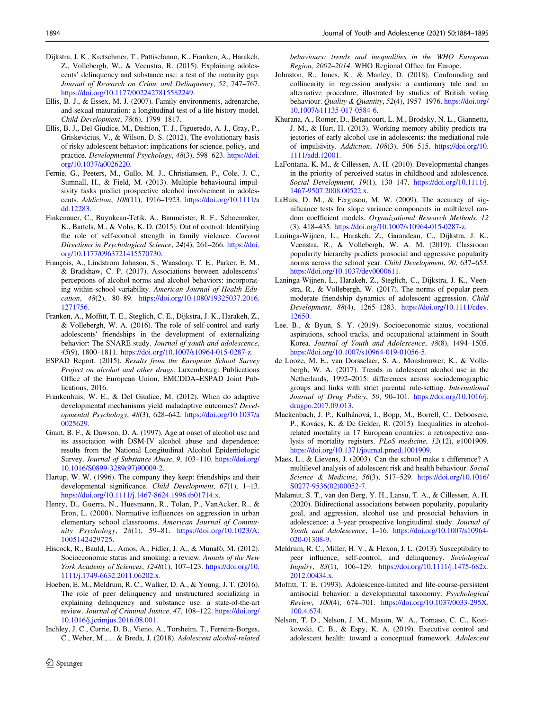- <span id="page-10-0"></span>Dijkstra, J. K., Kretschmer, T., Pattiselanno, K., Franken, A., Harakeh, Z., Vollebergh, W., & Veenstra, R. (2015). Explaining adolescents' delinquency and substance use: a test of the maturity gap. Journal of Research on Crime and Delinquency, 52, 747–767. <https://doi.org/10.1177/0022427815582249.>
- Ellis, B. J., & Essex, M. J. (2007). Family environments, adrenarche, and sexual maturation: a longitudinal test of a life history model. Child Development, 78(6), 1799–1817.
- Ellis, B. J., Del Giudice, M., Dishion, T. J., Figueredo, A. J., Gray, P., Griskevicius, V., & Wilson, D. S. (2012). The evolutionary basis of risky adolescent behavior: implications for science, policy, and practice. Developmental Psychology, 48(3), 598–623. [https://doi.](https://doi.org/10.1037/a0026220.) [org/10.1037/a0026220.](https://doi.org/10.1037/a0026220.)
- Fernie, G., Peeters, M., Gullo, M. J., Christiansen, P., Cole, J. C., Sumnall, H., & Field, M. (2013). Multiple behavioural impulsivity tasks predict prospective alcohol involvement in adolescents. Addiction, 108(11), 1916–1923. [https://doi.org/10.1111/a](https://doi.org/10.1111/add.12283) [dd.12283.](https://doi.org/10.1111/add.12283)
- Finkenauer, C., Buyukcan-Tetik, A., Baumeister, R. F., Schoemaker, K., Bartels, M., & Vohs, K. D. (2015). Out of control: Identifying the role of self-control strength in family violence. Current Directions in Psychological Science, 24(4), 261–266. [https://doi.](https://doi.org/10.1177/0963721415570730) [org/10.1177/0963721415570730](https://doi.org/10.1177/0963721415570730).
- François, A., Lindstrom Johnson, S., Waasdorp, T. E., Parker, E. M., & Bradshaw, C. P. (2017). Associations between adolescents' perceptions of alcohol norms and alcohol behaviors: incorporating within-school variability. American Journal of Health Education, 48(2), 80–89. [https://doi.org/10.1080/19325037.2016.](https://doi.org/10.1080/19325037.2016.1271756.) [1271756.](https://doi.org/10.1080/19325037.2016.1271756.)
- Franken, A., Moffitt, T. E., Steglich, C. E., Dijkstra, J. K., Harakeh, Z., & Vollebergh, W. A. (2016). The role of self-control and early adolescents' friendships in the development of externalizing behavior: The SNARE study. Journal of youth and adolescence, 45(9), 1800–1811. [https://doi.org/10.1007/s10964-015-0287-z.](https://doi.org/10.1007/s10964-015-0287-z)
- ESPAD Report. (2015). Results from the European School Survey Project on alcohol and other drugs. Luxembourg: Publications Office of the European Union, EMCDDA–ESPAD Joint Publications, 2016.
- Frankenhuis, W. E., & Del Giudice, M. (2012). When do adaptive developmental mechanisms yield maladaptive outcomes? Developmental Psychology, 48(3), 628–642. [https://doi.org/10.1037/a](https://doi.org/10.1037/a0025629.) [0025629.](https://doi.org/10.1037/a0025629.)
- Grant, B. F., & Dawson, D. A. (1997). Age at onset of alcohol use and its association with DSM-IV alcohol abuse and dependence: results from the National Longitudinal Alcohol Epidemiologic Survey. Journal of Substance Abuse, 9, 103–110. [https://doi.org/](https://doi.org/10.1016/S0899-3289(97)90009-2.) [10.1016/S0899-3289\(97\)90009-2.](https://doi.org/10.1016/S0899-3289(97)90009-2.)
- Hartup, W. W. (1996). The company they keep: friendships and their developmental significance. Child Development, 67(1), 1–13. <https://doi.org/10.1111/j.1467-8624.1996.tb01714.x.>
- Henry, D., Guerra, N., Huesmann, R., Tolan, P., VanAcker, R., & Eron, L. (2000). Normative influences on aggression in urban elementary school classrooms. American Journal of Community Psychology, 28(1), 59–81. [https://doi.org/10.1023/A:](https://doi.org/10.1023/A:1005142429725.) [1005142429725.](https://doi.org/10.1023/A:1005142429725.)
- Hiscock, R., Bauld, L., Amos, A., Fidler, J. A., & Munafò, M. (2012). Socioeconomic status and smoking: a review. Annals of the New York Academy of Sciences, 1248(1), 107–123. [https://doi.org/10.](https://doi.org/10.1111/j.1749-6632.2011.06202.x.) [1111/j.1749-6632.2011.06202.x.](https://doi.org/10.1111/j.1749-6632.2011.06202.x.)
- Hoeben, E. M., Meldrum, R. C., Walker, D. A., & Young, J. T. (2016). The role of peer delinquency and unstructured socializing in explaining delinquency and substance use: a state-of-the-art review. Journal of Criminal Justice, 47, 108–122. [https://doi.org/](https://doi.org/10.1016/j.jcrimjus.2016.08.001.) [10.1016/j.jcrimjus.2016.08.001.](https://doi.org/10.1016/j.jcrimjus.2016.08.001.)
- Inchley, J. C., Currie, D. B., Vieno, A., Torsheim, T., Ferreira-Borges, C., Weber, M.,… & Breda, J. (2018). Adolescent alcohol-related

 $\textcircled{2}$  Springer

behaviours: trends and inequalities in the WHO European Region, 2002–2014. WHO Regional Office for Europe.

- Johnston, R., Jones, K., & Manley, D. (2018). Confounding and collinearity in regression analysis: a cautionary tale and an alternative procedure, illustrated by studies of British voting behaviour. Quality & Quantity, 52(4), 1957–1976. [https://doi.org/](https://doi.org/10.1007/s11135-017-0584-6.) [10.1007/s11135-017-0584-6.](https://doi.org/10.1007/s11135-017-0584-6.)
- Khurana, A., Romer, D., Betancourt, L. M., Brodsky, N. L., Giannetta, J. M., & Hurt, H. (2013). Working memory ability predicts trajectories of early alcohol use in adolescents: the mediational role of impulsivity. Addiction, 108(3), 506–515. [https://doi.org/10.](https://doi.org/10.1111/add.12001.) [1111/add.12001.](https://doi.org/10.1111/add.12001.)
- LaFontana, K. M., & Cillessen, A. H. (2010). Developmental changes in the priority of perceived status in childhood and adolescence. Social Development, 19(1), 130–147. [https://doi.org/10.1111/j.](https://doi.org/10.1111/j.1467-9507.2008.00522.x.) [1467-9507.2008.00522.x.](https://doi.org/10.1111/j.1467-9507.2008.00522.x.)
- LaHuis, D. M., & Ferguson, M. W. (2009). The accuracy of significance tests for slope variance components in multilevel random coefficient models. Organizational Research Methods, 12 (3), 418–435. [https://doi.org/10.1007/s10964-015-0287-z.](https://doi.org/10.1007/s10964-015-0287-z)
- Laninga-Wijnen, L., Harakeh, Z., Garandeau, C., Dijkstra, J. K., Veenstra, R., & Vollebergh, W. A. M. (2019). Classroom popularity hierarchy predicts prosocial and aggressive popularity norms across the school year. Child Development, 90, 637–653. <https://doi.org/10.1037/dev0000611.>
- Laninga‐Wijnen, L., Harakeh, Z., Steglich, C., Dijkstra, J. K., Veenstra, R., & Vollebergh, W. (2017). The norms of popular peers moderate friendship dynamics of adolescent aggression. Child Development, 88(4), 1265–1283. [https://doi.org/10.1111/cdev.](https://doi.org/10.1111/cdev.12650.) [12650.](https://doi.org/10.1111/cdev.12650.)
- Lee, B., & Byun, S. Y. (2019). Socioeconomic status, vocational aspirations, school tracks, and occupational attainment in South Korea. Journal of Youth and Adolescence, 48(8), 1494–1505. <https://doi.org/10.1007/s10964-019-01056-5.>
- de Looze, M. E., van Dorsselaer, S. A., Monshouwer, K., & Vollebergh, W. A. (2017). Trends in adolescent alcohol use in the Netherlands, 1992–2015: differences across sociodemographic groups and links with strict parental rule-setting. International Journal of Drug Policy, 50, 90–101. [https://doi.org/10.1016/j.](https://doi.org/10.1016/j.drugpo.2017.09.013.) [drugpo.2017.09.013.](https://doi.org/10.1016/j.drugpo.2017.09.013.)
- Mackenbach, J. P., Kulhánová, I., Bopp, M., Borrell, C., Deboosere, P., Kovács, K. & De Gelder, R. (2015). Inequalities in alcoholrelated mortality in 17 European countries: a retrospective analysis of mortality registers. PLoS medicine, 12(12), e1001909. <https://doi.org/10.1371/journal.pmed.1001909.>
- Maes, L., & Lievens, J. (2003). Can the school make a difference? A multilevel analysis of adolescent risk and health behaviour. Social Science & Medicine, 56(3), 517–529. [https://doi.org/10.1016/](https://doi.org/10.1016/S0277-9536(02)00052-7.) [S0277-9536\(02\)00052-7.](https://doi.org/10.1016/S0277-9536(02)00052-7.)
- Malamut, S. T., van den Berg, Y. H., Lansu, T. A., & Cillessen, A. H. (2020). Bidirectional associations between popularity, popularity goal, and aggression, alcohol use and prosocial behaviors in adolescence: a 3-year prospective longitudinal study. Journal of Youth and Adolescence, 1–16. [https://doi.org/10.1007/s10964-](https://doi.org/10.1007/s10964-020-01308-9) [020-01308-9.](https://doi.org/10.1007/s10964-020-01308-9)
- Meldrum, R. C., Miller, H. V., & Flexon, J. L. (2013). Susceptibility to peer influence, self-control, and delinquency. Sociological Inquiry, 83(1), 106–129. [https://doi.org/10.1111/j.1475-682x.](https://doi.org/10.1111/j.1475-682x.2012.00434.x.) [2012.00434.x.](https://doi.org/10.1111/j.1475-682x.2012.00434.x.)
- Moffitt, T. E. (1993). Adolescence-limited and life-course-persistent antisocial behavior: a developmental taxonomy. Psychological Review, 100(4), 674–701. [https://doi.org/10.1037/0033-295X.](https://doi.org/10.1037/0033-295X.100.4.674.) [100.4.674.](https://doi.org/10.1037/0033-295X.100.4.674.)
- Nelson, T. D., Nelson, J. M., Mason, W. A., Tomaso, C. C., Kozikowski, C. B., & Espy, K. A. (2019). Executive control and adolescent health: toward a conceptual framework. Adolescent